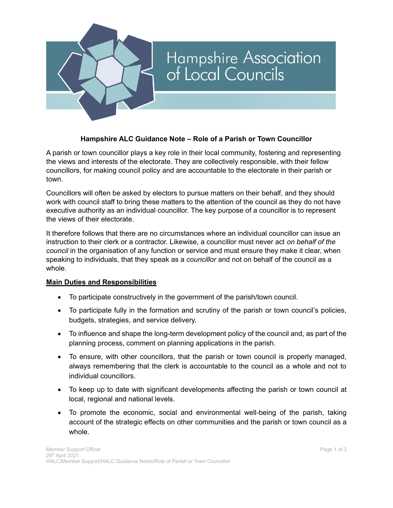

## **Hampshire ALC Guidance Note – Role of a Parish or Town Councillor**

A parish or town councillor plays a key role in their local community, fostering and representing the views and interests of the electorate. They are collectively responsible, with their fellow councillors, for making council policy and are accountable to the electorate in their parish or town.

Councillors will often be asked by electors to pursue matters on their behalf, and they should work with council staff to bring these matters to the attention of the council as they do not have executive authority as an individual councillor. The key purpose of a councillor is to represent the views of their electorate.

It therefore follows that there are no circumstances where an individual councillor can issue an instruction to their clerk or a contractor. Likewise, a councillor must never act *on behalf of the council* in the organisation of any function or service and must ensure they make it clear, when speaking to individuals, that they speak as a *councillor* and not on behalf of the council as a whole.

## **Main Duties and Responsibilities**

- To participate constructively in the government of the parish/town council.
- To participate fully in the formation and scrutiny of the parish or town council's policies, budgets, strategies, and service delivery.
- To influence and shape the long-term development policy of the council and, as part of the planning process, comment on planning applications in the parish.
- To ensure, with other councillors, that the parish or town council is properly managed, always remembering that the clerk is accountable to the council as a whole and not to individual councillors.
- To keep up to date with significant developments affecting the parish or town council at local, regional and national levels.
- To promote the economic, social and environmental well-being of the parish, taking account of the strategic effects on other communities and the parish or town council as a whole.